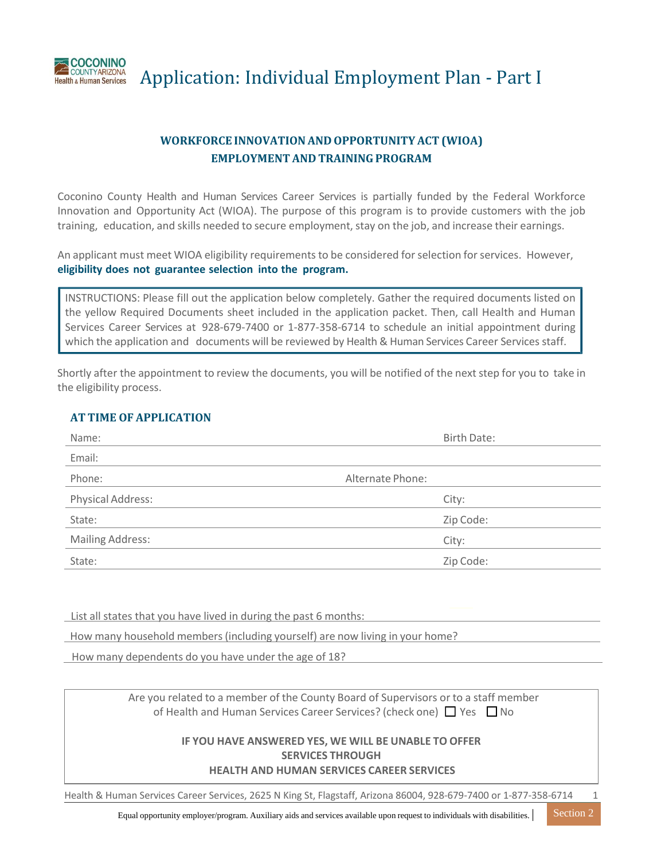

Application: Individual Employment Plan ‐ Part I

# **WORKFORCE INNOVATIONAND OPPORTUNITY ACT (WIOA) EMPLOYMENT AND TRAININGPROGRAM**

Coconino County Health and Human Services Career Services is partially funded by the Federal Workforce Innovation and Opportunity Act (WIOA). The purpose of this program is to provide customers with the job training, education, and skills needed to secure employment, stay on the job, and increase their earnings.

An applicant must meet WIOA eligibility requirements to be considered for selection for services. However, **eligibility does not guarantee selection into the program.**

INSTRUCTIONS: Please fill out the application below completely. Gather the required documents listed on the yellow Required Documents sheet included in the application packet. Then, call Health and Human Services Career Services at 928-679-7400 or 1-877-358-6714 to schedule an initial appointment during which the application and documents will be reviewed by Health & Human Services Career Services staff.

Shortly after the appointment to review the documents, you will be notified of the next step for you to take in the eligibility process.

## **AT TIME OF APPLICATION**

| Name:                   | <b>Birth Date:</b> |
|-------------------------|--------------------|
| Email:                  |                    |
| Phone:                  | Alternate Phone:   |
| Physical Address:       | City:              |
| State:                  | Zip Code:          |
| <b>Mailing Address:</b> | City:              |
| State:                  | Zip Code:          |

List all states that you have lived in during the past 6 months:

How many household members(including yourself) are now living in your home?

How many dependents do you have under the age of 18?

Are you related to a member of the County Board of Supervisors or to a staff member of Health and Human Services Career Services? (check one)  $\Box$  Yes  $\Box$  No

#### **IF YOU HAVE ANSWERED YES, WE WILL BE UNABLE TO OFFER SERVICES THROUGH HEALTH AND HUMAN SERVICES CAREER SERVICES**

Health & Human Services Career Services, 2625 N King St, Flagstaff, Arizona 86004, 928‐679‐7400 or 1‐877‐358‐6714 1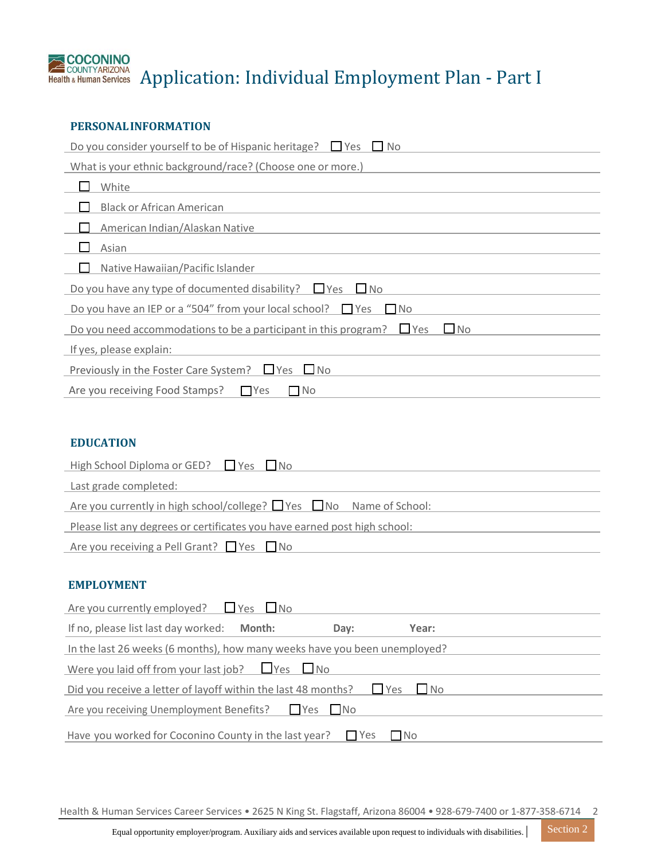

# Health & Human Services Application: Individual Employment Plan - Part I

## **PERSONALINFORMATION**

| Do you consider yourself to be of Hispanic heritage? $\Box$ Yes<br>$\blacksquare$ No            |
|-------------------------------------------------------------------------------------------------|
| What is your ethnic background/race? (Choose one or more.)                                      |
| White                                                                                           |
| <b>Black or African American</b>                                                                |
| American Indian/Alaskan Native                                                                  |
| Asian                                                                                           |
| Native Hawaiian/Pacific Islander                                                                |
| Do you have any type of documented disability? $\Box$ Yes $\Box$ No                             |
| Do you have an IEP or a "504" from your local school? $\Box$ Yes<br>No.                         |
| Do you need accommodations to be a participant in this program? $\Box$ Yes<br>$\blacksquare$ No |
| If yes, please explain:                                                                         |
| Previously in the Foster Care System? $\Box$ Yes $\Box$ No                                      |
| Are you receiving Food Stamps?<br><b>T</b> Yes<br>$\Box$ No                                     |

## **EDUCATION**

| High School Diploma or GED? $\Box$ Yes $\Box$ No                               |
|--------------------------------------------------------------------------------|
| Last grade completed:                                                          |
| Are you currently in high school/college? $\Box$ Yes $\Box$ No Name of School: |
| Please list any degrees or certificates you have earned post high school:      |
| Are you receiving a Pell Grant? $\Box$ Yes $\Box$ No                           |

#### **EMPLOYMENT**

| Are you currently employed? $\Box$ Yes $\Box$ No                          |                            |  |
|---------------------------------------------------------------------------|----------------------------|--|
| If no, please list last day worked:<br>Month:<br>Day:                     | Year:                      |  |
| In the last 26 weeks (6 months), how many weeks have you been unemployed? |                            |  |
| Were you laid off from your last job? $\Box$ Yes $\Box$ No                |                            |  |
| Did you receive a letter of layoff within the last 48 months?             | $\blacksquare$ Yes<br>l No |  |
| Are you receiving Unemployment Benefits?<br>I Yes I No                    |                            |  |
| Have you worked for Coconino County in the last year?                     | <b>Nes</b><br>l INo        |  |

Health & Human Services Career Services • 2625 N King St. Flagstaff, Arizona 86004 • 928‐679‐7400 or 1‐877‐358‐6714 2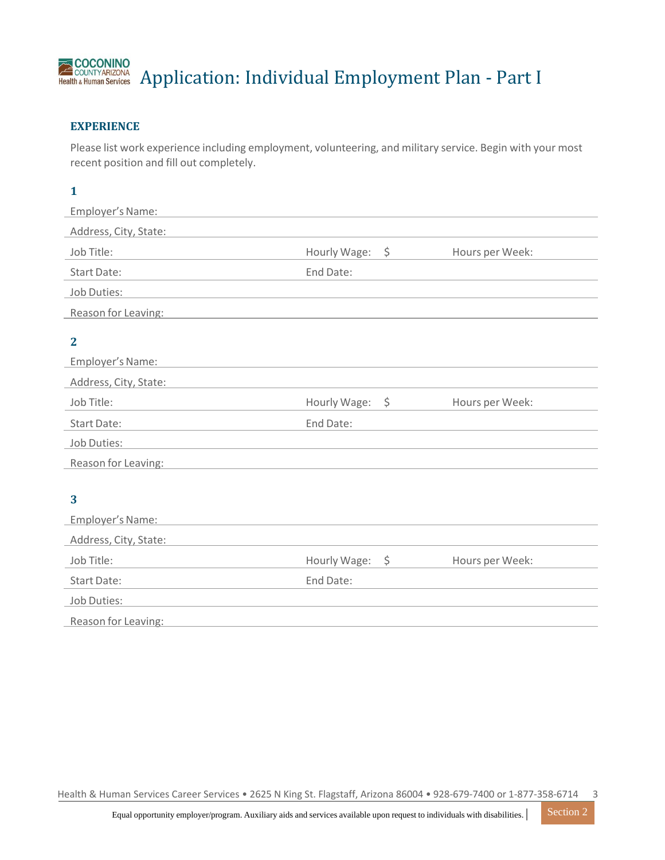# **ACOCONINO**<br>Health & Human Services Application: Individual Employment Plan - Part I

# **EXPERIENCE**

Please list work experience including employment, volunteering, and military service. Begin with your most recent position and fill out completely.

# **1**

| Employer's Name:      |                 |                 |
|-----------------------|-----------------|-----------------|
| Address, City, State: |                 |                 |
| Job Title:            | Hourly Wage: \$ | Hours per Week: |
| Start Date:           | End Date:       |                 |
| Job Duties:           |                 |                 |
| Reason for Leaving:   |                 |                 |
| $\mathbf{2}$          |                 |                 |
| Employer's Name:      |                 |                 |
| Address, City, State: |                 |                 |
| Job Title:            | Hourly Wage: \$ | Hours per Week: |
| <b>Start Date:</b>    | End Date:       |                 |
| Job Duties:           |                 |                 |
| Reason for Leaving:   |                 |                 |
|                       |                 |                 |
| 3                     |                 |                 |
| Employer's Name:      |                 |                 |
| Address, City, State: |                 |                 |
| Job Title:            | Hourly Wage: \$ | Hours per Week: |
| <b>Start Date:</b>    | End Date:       |                 |
| Job Duties:           |                 |                 |
| Reason for Leaving:   |                 |                 |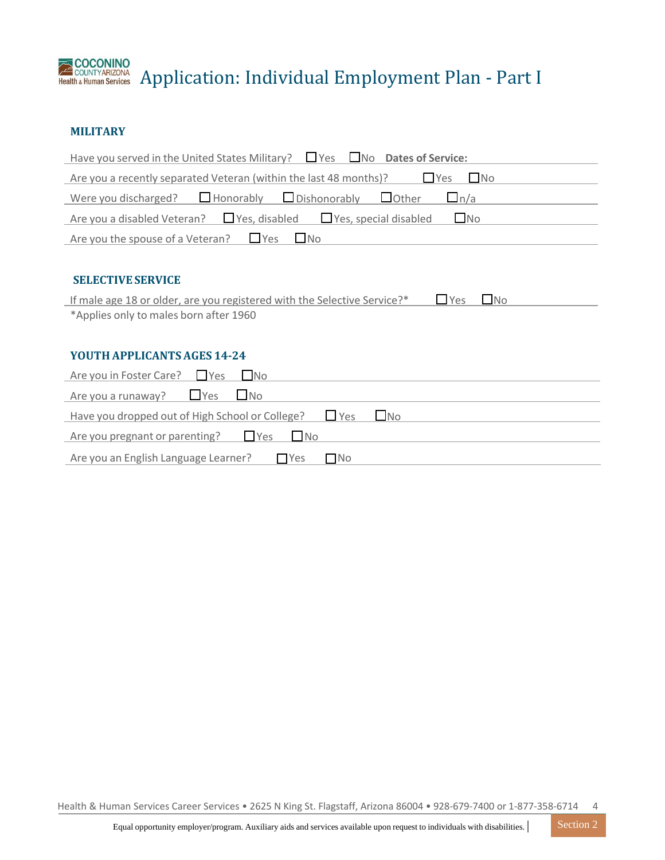

Application: Individual Employment Plan ‐ Part I

## **MILITARY**

| Have you served in the United States Military? $\Box$ Yes<br>$\Box$ No<br><b>Dates of Service:</b>  |
|-----------------------------------------------------------------------------------------------------|
| Are you a recently separated Veteran (within the last 48 months)?<br>$\sqcup$ Yes<br>$\Box$ No      |
| $\Box$ Honorably<br>$\Box$ Dishonorably<br>$\Box$ Other<br>$\Box$ n/a<br>Were you discharged?       |
| $\Box$ No<br>Yes, disabled<br>Yes, special disabled<br>Are you a disabled Veteran?                  |
| $\Box$ No<br>$\sqcup$ Yes<br>Are you the spouse of a Veteran?                                       |
|                                                                                                     |
| <b>SELECTIVE SERVICE</b>                                                                            |
| $\Box$ Yes<br>$\Box$ No<br>If male age 18 or older, are you registered with the Selective Service?* |
| *Applies only to males born after 1960                                                              |
|                                                                                                     |
| <b>YOUTH APPLICANTS AGES 14-24</b>                                                                  |
| Are you in Foster Care? Pres<br>$\Box$ No                                                           |
| $\Box$ Yes<br>$\Box$ No<br>Are you a runaway?                                                       |
| $\square$ No<br>$\sqcup$ Yes<br>Have you dropped out of High School or College?                     |
| $\sqcup$ Yes<br>$\Box$ No<br>Are you pregnant or parenting?                                         |
| $\Box$ No<br>Are you an English Language Learner?<br>$\Box$ Yes                                     |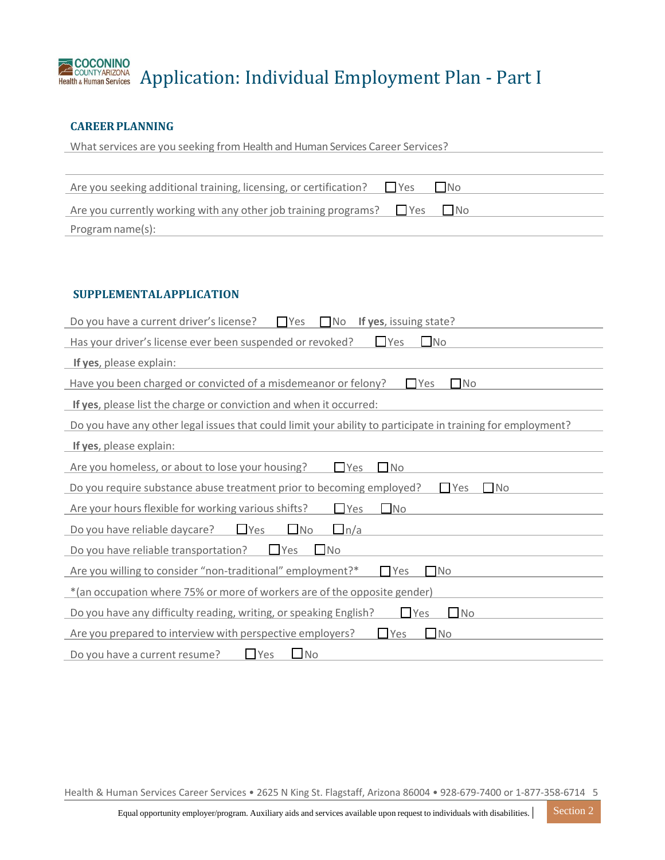# **ACOCONINO**<br>Health & Human Services Application: Individual Employment Plan - Part I

# **CAREERPLANNING**

| What services are you seeking from Health and Human Services Career Services?        |  |  |
|--------------------------------------------------------------------------------------|--|--|
|                                                                                      |  |  |
| Are you seeking additional training, licensing, or certification? $\Box$ Yes<br>I No |  |  |
| Are you currently working with any other job training programs? $\Box$ Yes $\Box$ No |  |  |
| Program name(s):                                                                     |  |  |

## **SUPPLEMENTAL APPLICATION**

| Do you have a current driver's license?<br>$\Gamma$ Yes<br>If yes, issuing state?<br>∩No                    |
|-------------------------------------------------------------------------------------------------------------|
| $\Box$ No<br>Has your driver's license ever been suspended or revoked?<br>$\Box$ Yes                        |
| If yes, please explain:                                                                                     |
| Have you been charged or convicted of a misdemeanor or felony?<br>$\Box$ Yes<br>$\Box$ No                   |
| If yes, please list the charge or conviction and when it occurred:                                          |
| Do you have any other legal issues that could limit your ability to participate in training for employment? |
| If yes, please explain:                                                                                     |
| Are you homeless, or about to lose your housing?<br>$\Box$ No<br>l Yes                                      |
| Do you require substance abuse treatment prior to becoming employed?<br><b>No</b><br>$\Box$ Yes             |
| $\square$ No<br>Are your hours flexible for working various shifts?<br>$\Box$ Yes                           |
| Do you have reliable daycare?<br>$\Box$ Yes<br>$\Box$ No<br>$\Box$ n/a                                      |
| $\square$ No<br>$\Box$ Yes<br>Do you have reliable transportation?                                          |
| Are you willing to consider "non-traditional" employment?*<br>$\Box$ Yes<br>$\neg$ No                       |
| *(an occupation where 75% or more of workers are of the opposite gender)                                    |
| $\Box$ Yes<br>$\Box$ No<br>Do you have any difficulty reading, writing, or speaking English?                |
| $\Box$ No<br>$\Box$ Yes<br>Are you prepared to interview with perspective employers?                        |
| $\Box$ Yes<br>$\Box$ No<br>Do you have a current resume?                                                    |

Health & Human Services Career Services • 2625 N King St. Flagstaff, Arizona 86004 • 928‐679‐7400 or 1‐877‐358‐6714 5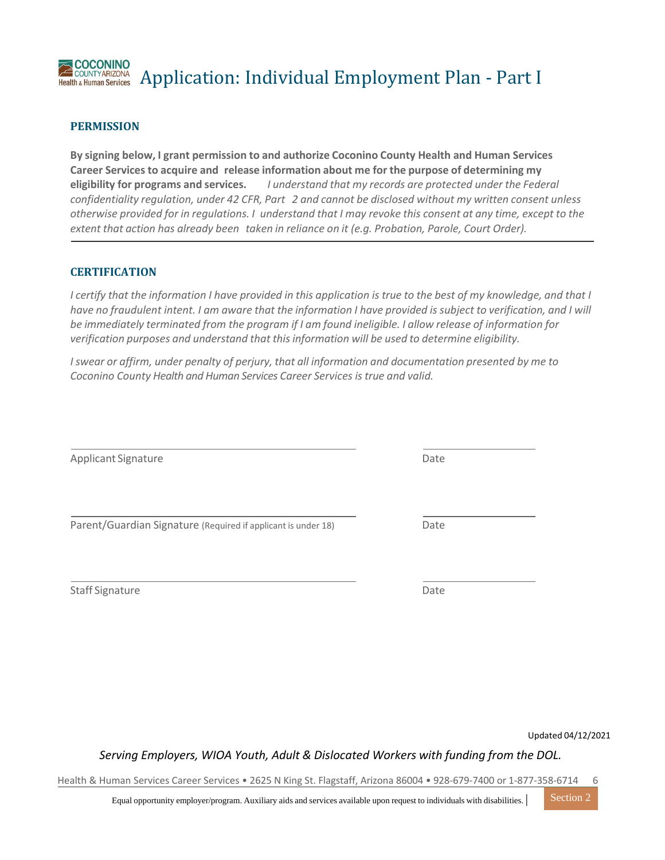#### **COCONINO** Application: Individual Employment Plan ‐ Part I **COUNTYARIZONA Health & Human Services**

## **PERMISSION**

**By signing below, I grant permission to and authorize Coconino County Health and Human Services Career Services to acquire and release information about me for the purpose of determining my eligibility for programs and services.** *I understand that my records are protected under the Federal confidentiality regulation, under 42 CFR, Part 2 and cannot be disclosed without my written consent unless* otherwise provided for in regulations. I understand that I may revoke this consent at any time, except to the *extent that action has already been taken in reliance on it (e.g. Probation, Parole, Court Order).*

#### **CERTIFICATION**

I certify that the information I have provided in this application is true to the best of my knowledge, and that I have no fraudulent intent. I am aware that the information I have provided is subject to verification, and I will *be immediately terminated from the program if I am found ineligible. I allow release of information for verification purposes and understand that this information will be used to determine eligibility.*

*I swear or affirm, under penalty of perjury, that all information and documentation presented by me to Coconino County Health and Human Services Career Services is true and valid.*

| Applicant Signature                                           | Date |
|---------------------------------------------------------------|------|
| Parent/Guardian Signature (Required if applicant is under 18) | Date |
| <b>Staff Signature</b>                                        | Date |

Updated 04/12/2021

*Serving Employers, WIOA Youth, Adult & Dislocated Workers with funding from the DOL.*

Health & Human Services Career Services • 2625 N King St. Flagstaff, Arizona 86004 • 928‐679‐7400 or 1‐877‐358‐6714 6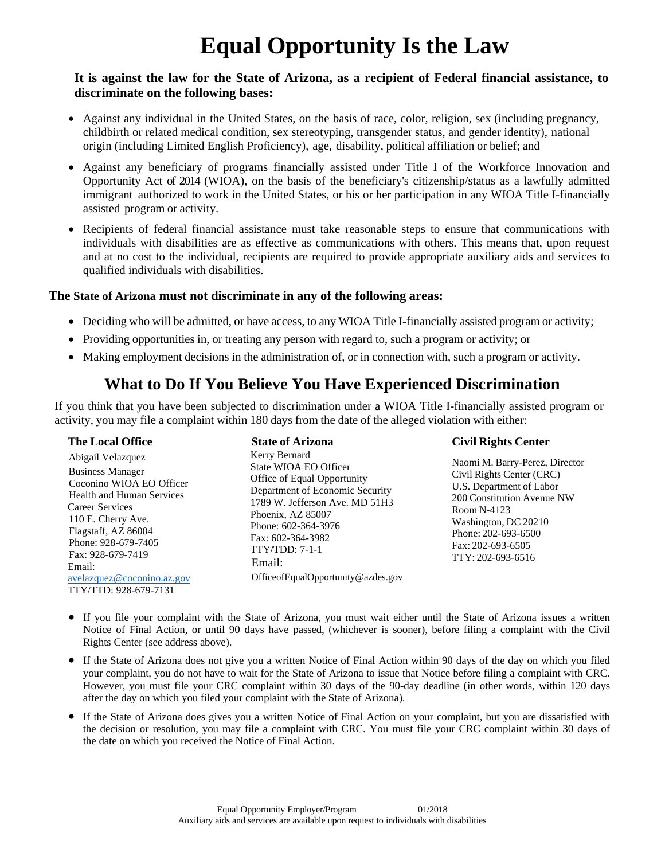# **Equal Opportunity Is the Law**

## **It is against the law for the State of Arizona, as a recipient of Federal financial assistance, to discriminate on the following bases:**

- Against any individual in the United States, on the basis of race, color, religion, sex (including pregnancy, childbirth or related medical condition, sex stereotyping, transgender status, and gender identity), national origin (including Limited English Proficiency), age, disability, political affiliation or belief; and
- Against any beneficiary of programs financially assisted under Title I of the Workforce Innovation and Opportunity Act of 2014 (WIOA), on the basis of the beneficiary's citizenship/status as a lawfully admitted immigrant authorized to work in the United States, or his or her participation in any WIOA Title I-financially assisted program or activity.
- Recipients of federal financial assistance must take reasonable steps to ensure that communications with individuals with disabilities are as effective as communications with others. This means that, upon request and at no cost to the individual, recipients are required to provide appropriate auxiliary aids and services to qualified individuals with disabilities.

## **The State of Arizona must not discriminate in any of the following areas:**

- Deciding who will be admitted, or have access, to any WIOA Title I-financially assisted program or activity;
- Providing opportunities in, or treating any person with regard to, such a program or activity; or

**State of Arizona**

• Making employment decisions in the administration of, or in connection with, such a program or activity.

# **What to Do If You Believe You Have Experienced Discrimination**

If you think that you have been subjected to discrimination under a WIOA Title I-financially assisted program or activity, you may file a complaint within 180 days from the date of the alleged violation with either:

#### **The Local Office**

Abigail Velazquez Business Manager Coconino WIOA EO Officer Health and Human Services Career Services 110 E. Cherry Ave. Flagstaff, AZ 86004 Phone: 928-679-7405 Fax: 928-679-7419 Email: [avelazquez@coconino.az.gov](mailto:avelazquez@coconino.az.gov) TTY/TTD: 928-679-7131

#### Kerry Bernard State WIOA EO Officer Office of Equal Opportunity Department of Economic Security 1789 W. Jefferson Ave. MD 51H3 Phoenix, AZ 85007 Phone: 602-364-3976 Fax: 602-364-3982 TTY/TDD: 7-1-1 Email: OfficeofEqualOpportunity@azdes.gov

## **Civil Rights Center**

- Naomi M. Barry-Perez, Director Civil Rights Center (CRC) U.S. Department of Labor 200 Constitution Avenue NW Room N-4123 Washington, DC 20210 Phone: 202-693-6500 Fax: 202-693-6505 TTY: 202-693-6516
- If you file your complaint with the State of Arizona, you must wait either until the State of Arizona issues a written Notice of Final Action, or until 90 days have passed, (whichever is sooner), before filing a complaint with the Civil Rights Center (see address above).
- If the State of Arizona does not give you a written Notice of Final Action within 90 days of the day on which you filed your complaint, you do not have to wait for the State of Arizona to issue that Notice before filing a complaint with CRC. However, you must file your CRC complaint within 30 days of the 90-day deadline (in other words, within 120 days after the day on which you filed your complaint with the State of Arizona).
- If the State of Arizona does gives you a written Notice of Final Action on your complaint, but you are dissatisfied with the decision or resolution, you may file a complaint with CRC. You must file your CRC complaint within 30 days of the date on which you received the Notice of Final Action.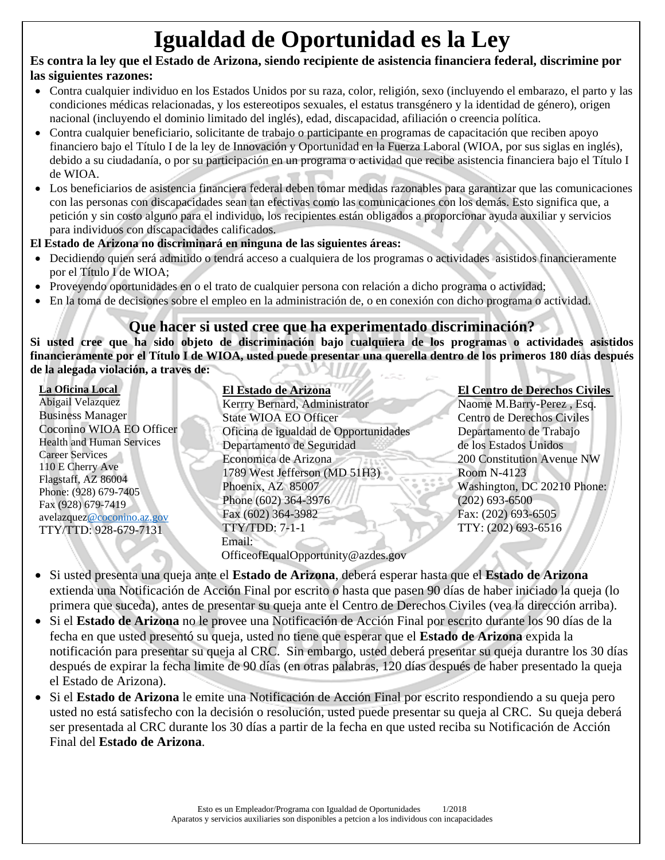# **Igualdad de Oportunidad es la Ley**

# **Es contra la ley que el Estado de Arizona, siendo recipiente de asistencia financiera federal, discrimine por las siguientes razones:**

- Contra cualquier individuo en los Estados Unidos por su raza, color, religión, sexo (incluyendo el embarazo, el parto y las condiciones médicas relacionadas, y los estereotipos sexuales, el estatus transgénero y la identidad de género), origen nacional (incluyendo el dominio limitado del inglés), edad, discapacidad, afiliación o creencia política.
- Contra cualquier beneficiario, solicitante de trabajo o participante en programas de capacitación que reciben apoyo financiero bajo el Título I de la ley de Innovación y Oportunidad en la Fuerza Laboral (WIOA, por sus siglas en inglés), debido a su ciudadanía, o por su participación en un programa o actividad que recibe asistencia financiera bajo el Título I de WIOA.
- Los beneficiarios de asistencia financiera federal deben tomar medidas razonables para garantizar que las comunicaciones con las personas con discapacidades sean tan efectivas como las comunicaciones con los demás. Esto significa que, a petición y sin costo alguno para el individuo, los recipientes están obligados a proporcionar ayuda auxiliar y servicios para individuos con discapacidades calificados.

# **El Estado de Arizona no discriminará en ninguna de las siguientes áreas:**

- Decidiendo quien será admitido o tendrá acceso a cualquiera de los programas o actividades asistidos financieramente por el Título I de WIOA;
- Proveyendo oportunidades en o el trato de cualquier persona con relación a dicho programa o actividad;
- En la toma de decisiones sobre el empleo en la administración de, o en conexión con dicho programa o actividad.

# **Que hacer si usted cree que ha experimentado discriminación?**

**Si usted cree que ha sido objeto de discriminación bajo cualquiera de los programas o actividades asistidos financieramente por el Título I de WIOA, usted puede presentar una querella dentro de los primeros 180 días después de la alegada violación, a traves de:**

**La Oficina Local**  Abigail Velazquez Business Manager Coconino WIOA EO Officer Health and Human Services Career Services 110 E Cherry Ave Flagstaff, AZ 86004 Phone: (928) 679-7405 Fax (928) 679-7419 avelazque[z@coconino.az.gov](mailto:a@coconino.az.gov) TTY/TTD: 928-679-7131

**El Estado de Arizona** Kerrry Bernard, Administrator State WIOA EO Officer Oficina de igualdad de Opportunidades Departamento de Seguridad Economica de Arizona 1789 West Jefferson (MD 51H3) Phoenix, AZ 85007 Phone (602) 364-3976 Fax (602) 364-3982 TTY/TDD: 7-1-1 Email: OfficeofEqualOpportunity@azdes.gov

# **El Centro de Derechos Civiles**

Naome M.Barry-Perez , Esq. Centro de Derechos Civiles Departamento de Trabajo de los Estados Unidos 200 Constitution Avenue NW Room N-4123 Washington, DC 20210 Phone: (202) 693-6500 Fax: (202) 693-6505 TTY: (202) 693-6516

- Si usted presenta una queja ante el **Estado de Arizona**, deberá esperar hasta que el **Estado de Arizona** extienda una Notificación de Acción Final por escrito o hasta que pasen 90 días de haber iniciado la queja (lo primera que suceda), antes de presentar su queja ante el Centro de Derechos Civiles (vea la dirección arriba).
- Si el **Estado de Arizona** no le provee una Notificación de Acción Final por escrito durante los 90 días de la fecha en que usted presentó su queja, usted no tiene que esperar que el **Estado de Arizona** expida la notificación para presentar su queja al CRC. Sin embargo, usted deberá presentar su queja durantre los 30 días después de expirar la fecha limite de 90 días (en otras palabras, 120 días después de haber presentado la queja el Estado de Arizona).
- Si el **Estado de Arizona** le emite una Notificación de Acción Final por escrito respondiendo a su queja pero usted no está satisfecho con la decisión o resolución, usted puede presentar su queja al CRC. Su queja deberá ser presentada al CRC durante los 30 días a partir de la fecha en que usted reciba su Notificación de Acción Final del **Estado de Arizona**.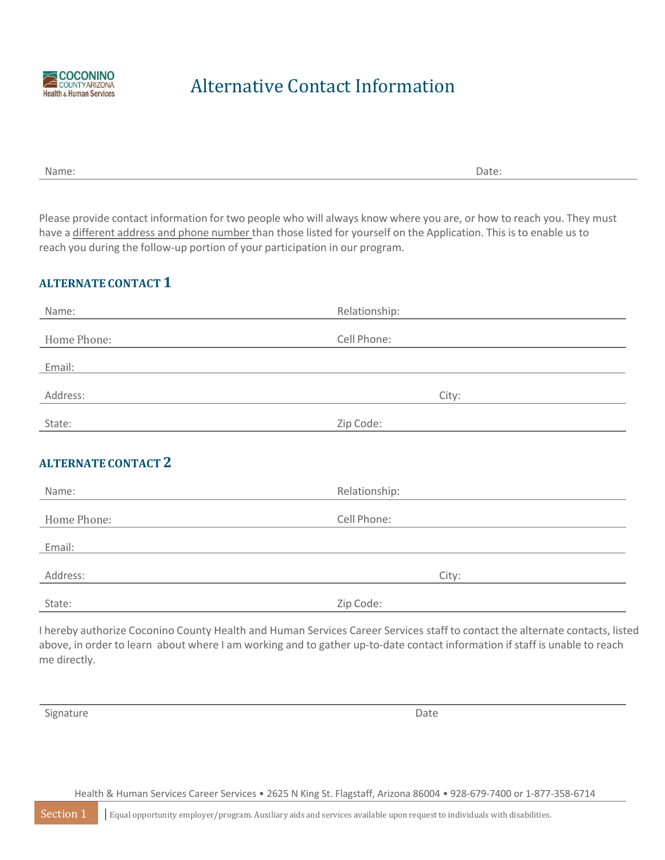

# Alternative Contact Information

Please provide contact information for two people who will always know where you are, or how to reach you. They must have a different address and phone number than those listed for yourself on the Application. This is to enable us to reach you during the follow‐up portion of your participation in our program.

# **ALTERNATE CONTACT 1**

| Name:                      | Relationship: |
|----------------------------|---------------|
| Home Phone:                | Cell Phone:   |
| Email:                     |               |
| Address:                   | City:         |
| State:                     | Zip Code:     |
| <b>ALTERNATE CONTACT 2</b> |               |
| Name:                      | Relationship: |
| Home Phone:                | Cell Phone:   |
| Email:                     |               |
| Address:                   | City:         |

State: Zip Code:

I hereby authorize Coconino County Health and Human Services Career Services staff to contact the alternate contacts, listed above, in order to learn about where I am working and to gather up-to-date contact information if staff is unable to reach me directly.

Signature Date

Health & Human Services Career Services • 2625 N King St. Flagstaff, Arizona 86004 • 928‐679‐7400 or 1‐877‐358‐6714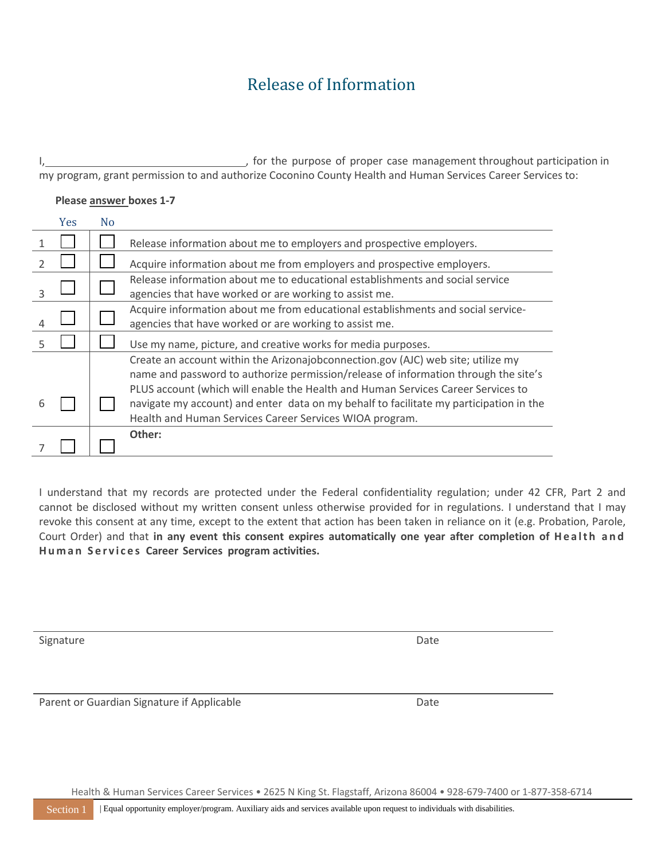# Release of Information

I, 1. **I**  $\frac{1}{2}$  is the purpose of proper case management throughout participation in

| Please answer boxes 1-7<br>Yes<br>N <sub>o</sub><br>Release information about me to employers and prospective employers.<br>1<br>$\overline{2}$<br>Acquire information about me from employers and prospective employers.<br>Release information about me to educational establishments and social service<br>agencies that have worked or are working to assist me.<br>Acquire information about me from educational establishments and social service-<br>4<br>agencies that have worked or are working to assist me.<br>5<br>Use my name, picture, and creative works for media purposes.<br>Create an account within the Arizonajobconnection.gov (AJC) web site; utilize my<br>name and password to authorize permission/release of information through the site's<br>PLUS account (which will enable the Health and Human Services Career Services to<br>navigate my account) and enter data on my behalf to facilitate my participation in the<br>6<br>Health and Human Services Career Services WIOA program.<br>Other: | my program, grant permission to and authorize Coconino County Health and Human Services Career Services to: |  |  |  |
|---------------------------------------------------------------------------------------------------------------------------------------------------------------------------------------------------------------------------------------------------------------------------------------------------------------------------------------------------------------------------------------------------------------------------------------------------------------------------------------------------------------------------------------------------------------------------------------------------------------------------------------------------------------------------------------------------------------------------------------------------------------------------------------------------------------------------------------------------------------------------------------------------------------------------------------------------------------------------------------------------------------------------------|-------------------------------------------------------------------------------------------------------------|--|--|--|
|                                                                                                                                                                                                                                                                                                                                                                                                                                                                                                                                                                                                                                                                                                                                                                                                                                                                                                                                                                                                                                 |                                                                                                             |  |  |  |
|                                                                                                                                                                                                                                                                                                                                                                                                                                                                                                                                                                                                                                                                                                                                                                                                                                                                                                                                                                                                                                 |                                                                                                             |  |  |  |
|                                                                                                                                                                                                                                                                                                                                                                                                                                                                                                                                                                                                                                                                                                                                                                                                                                                                                                                                                                                                                                 |                                                                                                             |  |  |  |
|                                                                                                                                                                                                                                                                                                                                                                                                                                                                                                                                                                                                                                                                                                                                                                                                                                                                                                                                                                                                                                 |                                                                                                             |  |  |  |
|                                                                                                                                                                                                                                                                                                                                                                                                                                                                                                                                                                                                                                                                                                                                                                                                                                                                                                                                                                                                                                 |                                                                                                             |  |  |  |
|                                                                                                                                                                                                                                                                                                                                                                                                                                                                                                                                                                                                                                                                                                                                                                                                                                                                                                                                                                                                                                 |                                                                                                             |  |  |  |
|                                                                                                                                                                                                                                                                                                                                                                                                                                                                                                                                                                                                                                                                                                                                                                                                                                                                                                                                                                                                                                 |                                                                                                             |  |  |  |
|                                                                                                                                                                                                                                                                                                                                                                                                                                                                                                                                                                                                                                                                                                                                                                                                                                                                                                                                                                                                                                 |                                                                                                             |  |  |  |
|                                                                                                                                                                                                                                                                                                                                                                                                                                                                                                                                                                                                                                                                                                                                                                                                                                                                                                                                                                                                                                 |                                                                                                             |  |  |  |

I understand that my records are protected under the Federal confidentiality regulation; under 42 CFR, Part 2 and cannot be disclosed without my written consent unless otherwise provided for in regulations. I understand that I may revoke this consent at any time, except to the extent that action has been taken in reliance on it (e.g. Probation, Parole, Court Order) and that **in any event this consent expires automatically one year after completion of H e a l t h a n d H u m a n S e r v i c e s Career Services program activities.**

Signature Date

Parent or Guardian Signature if Applicable Date Date

Health & Human Services Career Services • 2625 N King St. Flagstaff, Arizona 86004 • 928‐679‐7400 or 1‐877‐358‐6714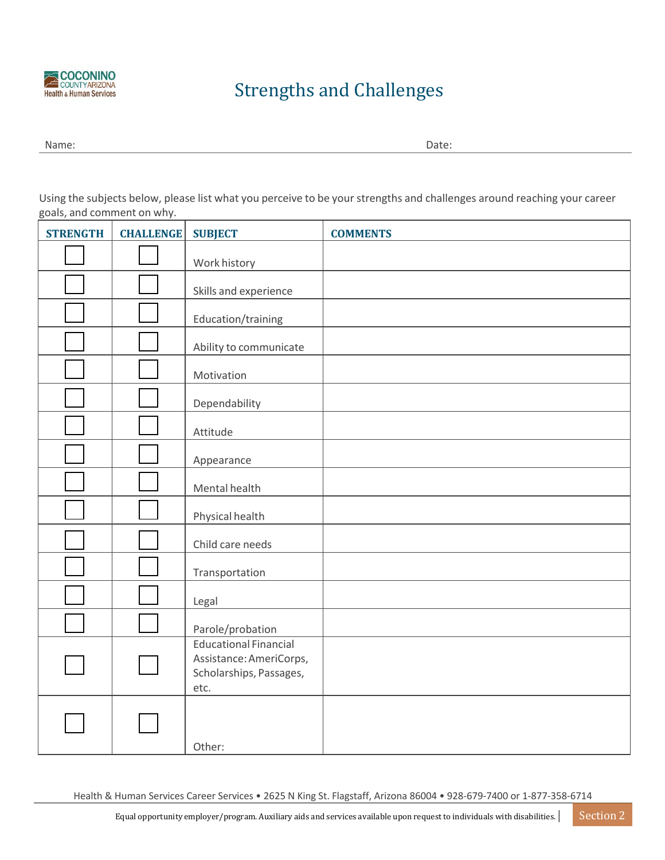

# Strengths and Challenges

Name: Date:

Using the subjects below, please list what you perceive to be your strengths and challenges around reaching your career goals, and comment on why.

| <b>STRENGTH</b> | <b>CHALLENGE</b> | <b>SUBJECT</b>                                                                             | <b>COMMENTS</b> |
|-----------------|------------------|--------------------------------------------------------------------------------------------|-----------------|
|                 |                  | Work history                                                                               |                 |
|                 |                  | Skills and experience                                                                      |                 |
|                 |                  | Education/training                                                                         |                 |
|                 |                  | Ability to communicate                                                                     |                 |
|                 |                  | Motivation                                                                                 |                 |
|                 |                  | Dependability                                                                              |                 |
|                 |                  | Attitude                                                                                   |                 |
|                 |                  | Appearance                                                                                 |                 |
|                 |                  | Mental health                                                                              |                 |
|                 |                  | Physical health                                                                            |                 |
|                 |                  | Child care needs                                                                           |                 |
|                 |                  | Transportation                                                                             |                 |
|                 |                  | Legal                                                                                      |                 |
|                 |                  | Parole/probation                                                                           |                 |
|                 |                  | <b>Educational Financial</b><br>Assistance: AmeriCorps,<br>Scholarships, Passages,<br>etc. |                 |
|                 |                  | Other:                                                                                     |                 |

Health & Human Services Career Services • 2625 N King St. Flagstaff, Arizona 86004 • 928‐679‐7400 or 1‐877‐358‐6714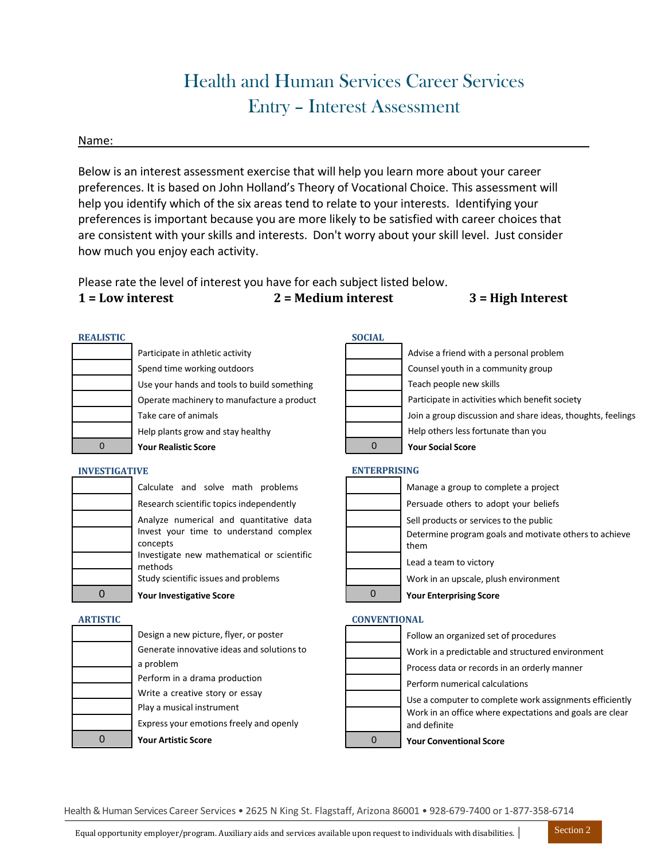# Health and Human Services Career Services Entry – Interest Assessment

#### Name:

Below is an interest assessment exercise that will help you learn more about your career preferences. It is based on John Holland's Theory of Vocational Choice. This assessment will help you identify which of the six areas tend to relate to your interests. Identifying your preferencesis important because you are more likely to be satisfied with career choices that are consistent with your skills and interests. Don't worry about your skill level. Just consider how much you enjoy each activity.

Please rate the level of interest you have for each subject listed below.

# **1 = Low interest 2 = Medium interest 3 = High Interest**

Perform numerical calculations

**Your Conventional Score**

and definite

Use a computer to complete work assignments efficiently Work in an office where expectations and goals are clear

| <b>REALISTIC</b>     |                                                        | <b>SOCIAL</b>       |                                                             |
|----------------------|--------------------------------------------------------|---------------------|-------------------------------------------------------------|
|                      | Participate in athletic activity                       |                     | Advise a friend with a personal problem                     |
|                      | Spend time working outdoors                            |                     | Counsel youth in a community group                          |
|                      | Use your hands and tools to build something            |                     | Teach people new skills                                     |
|                      | Operate machinery to manufacture a product             |                     | Participate in activities which benefit society             |
|                      | Take care of animals                                   |                     | Join a group discussion and share ideas, thoughts, feelings |
|                      | Help plants grow and stay healthy                      |                     | Help others less fortunate than you                         |
| $\mathbf{0}$         | <b>Your Realistic Score</b>                            | $\mathbf{0}$        | <b>Your Social Score</b>                                    |
| <b>INVESTIGATIVE</b> |                                                        | <b>ENTERPRISING</b> |                                                             |
|                      | Calculate and solve math problems                      |                     | Manage a group to complete a project                        |
|                      | Research scientific topics independently               |                     | Persuade others to adopt your beliefs                       |
|                      | Analyze numerical and quantitative data                |                     | Sell products or services to the public                     |
|                      | Invest your time to understand complex                 |                     | Determine program goals and motivate others to achieve      |
|                      | concepts<br>Investigate new mathematical or scientific |                     | them                                                        |
|                      | methods                                                |                     | Lead a team to victory                                      |
|                      | Study scientific issues and problems                   |                     | Work in an upscale, plush environment                       |
| 0                    | <b>Your Investigative Score</b>                        | $\overline{0}$      | <b>Your Enterprising Score</b>                              |
| <b>ARTISTIC</b>      |                                                        | <b>CONVENTIONAL</b> |                                                             |
|                      | Design a new picture, flyer, or poster                 |                     | Follow an organized set of procedures                       |
|                      | Generate innovative ideas and solutions to             |                     | Work in a predictable and structured environment            |
|                      | a problem                                              |                     | Process data or records in an orderly manner                |

| <b>Your Artistic Score</b>                 |  |
|--------------------------------------------|--|
| Express your emotions freely and openly    |  |
| Play a musical instrument                  |  |
| Write a creative story or essay            |  |
| Perform in a drama production              |  |
| a problem                                  |  |
| Generate innovative ideas and solutions to |  |
| Design a new picture, fiver, or poster     |  |

Health &Human Services Career Services • 2625 N King St. Flagstaff, Arizona 86001 • 928-679-7400 or 1-877-358-6714